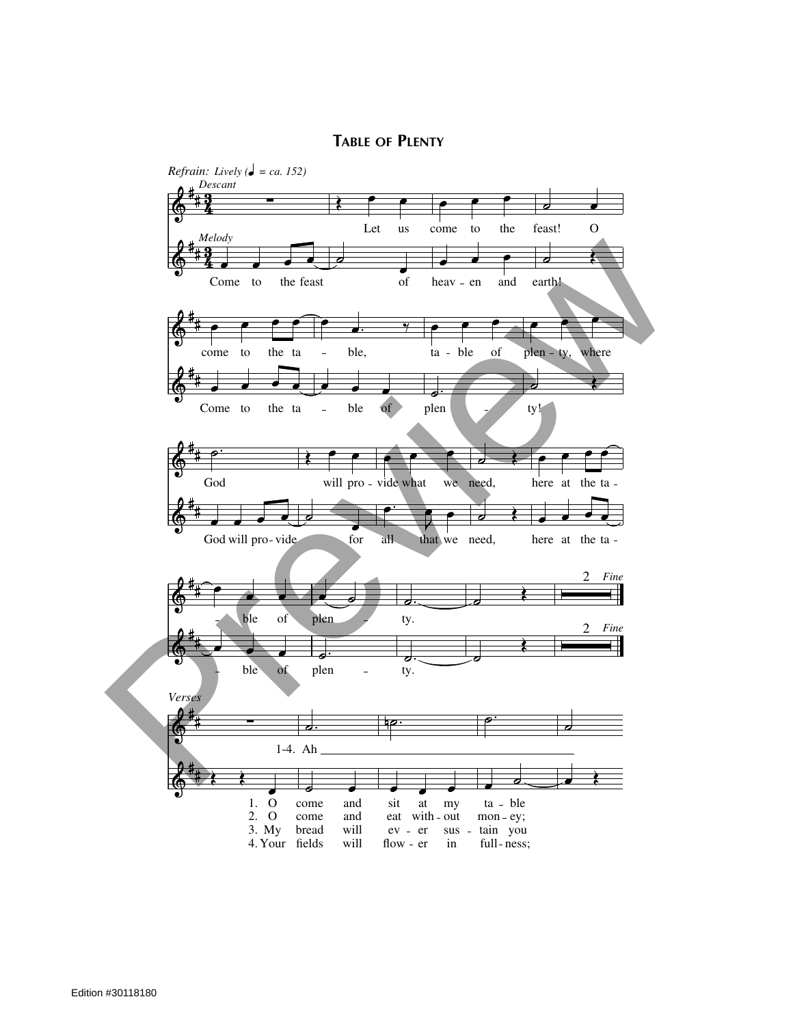## **TABLE OF PLENTY**